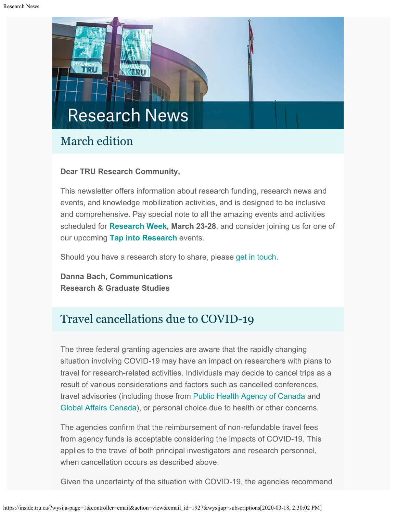# **Research News**

# March edition

## **Dear TRU Research Community,**

This newsletter offers information about research funding, research news and events, and knowledge mobilization activities, and is designed to be inclusive and comprehensive. Pay special note to all the amazing events and activities scheduled for **[Research Week](https://www.tru.ca/research/research-week.html), March 23-28**, and consider joining us for one of our upcoming **[Tap into Research](https://inside.tru.ca/events/event/tap-into-research-will-we-have-rattlesnakes-100-years-from-now/)** events.

Should you have a research story to share, please [get in touch](mailto:dbach@tru.ca).

**Danna Bach, Communications Research & Graduate Studies**

# Travel cancellations due to COVID-19

The three federal granting agencies are aware that the rapidly changing situation involving COVID-19 may have an impact on researchers with plans to travel for research-related activities. Individuals may decide to cancel trips as a result of various considerations and factors such as cancelled conferences, travel advisories (including those from [Public Health Agency of Canada](https://www.canada.ca/en/public-health/services/diseases/2019-novel-coronavirus-infection/latest-travel-health-advice.html) and [Global Affairs Canada](https://travel.gc.ca/travelling/advisories?_ga=2.162402300.132808878.1583343542-1072364145.1583343542)), or personal choice due to health or other concerns.

The agencies confirm that the reimbursement of non-refundable travel fees from agency funds is acceptable considering the impacts of COVID-19. This applies to the travel of both principal investigators and research personnel, when cancellation occurs as described above.

Given the uncertainty of the situation with COVID-19, the agencies recommend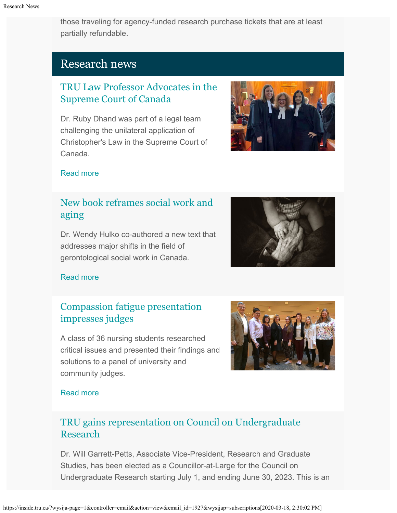those traveling for agency-funded research purchase tickets that are at least partially refundable.

# Research news

## [TRU Law Professor Advocates in the](http://inside.tru.ca/2020/03/05/tru-law-professor-advocates-in-the-supreme-court-of-canada/) [Supreme Court of Canada](http://inside.tru.ca/2020/03/05/tru-law-professor-advocates-in-the-supreme-court-of-canada/)

Dr. Ruby Dhand was part of a legal team challenging the unilateral application of Christopher's Law in the Supreme Court of Canada.



#### [Read more](http://inside.tru.ca/2020/03/05/tru-law-professor-advocates-in-the-supreme-court-of-canada/)

# [New book reframes social work and](http://inside.tru.ca/2020/02/27/new-book-reframes-social-work-and-aging/) [aging](http://inside.tru.ca/2020/02/27/new-book-reframes-social-work-and-aging/)

Dr. Wendy Hulko co-authored a new text that addresses major shifts in the field of gerontological social work in Canada.



## [Read more](http://inside.tru.ca/2020/02/27/new-book-reframes-social-work-and-aging/)

## [Compassion fatigue presentation](http://inside.tru.ca/2020/02/11/compassion-fatigue-presentation-impresses-judges/) [impresses judges](http://inside.tru.ca/2020/02/11/compassion-fatigue-presentation-impresses-judges/)

A class of 36 nursing students researched critical issues and presented their findings and solutions to a panel of university and community judges.



#### [Read more](http://inside.tru.ca/2020/02/11/compassion-fatigue-presentation-impresses-judges/)

# [TRU gains representation on Council on Undergraduate](https://www.cur.org/who/leadership/council/) [Research](https://www.cur.org/who/leadership/council/)

Dr. Will Garrett-Petts, Associate Vice-President, Research and Graduate Studies, has been elected as a Councillor-at-Large for the Council on Undergraduate Research starting July 1, and ending June 30, 2023. This is an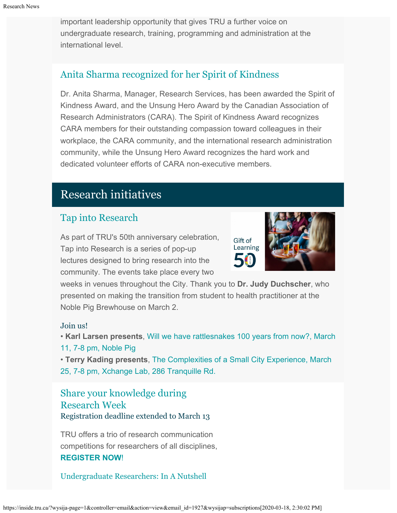important leadership opportunity that gives TRU a further voice on undergraduate research, training, programming and administration at the international level.

## [Anita Sharma recognized for her Spirit of Kindness](https://cara-acaar.ca/AboutUs/Awards/awardwinners)

Dr. Anita Sharma, Manager, Research Services, has been awarded the Spirit of Kindness Award, and the Unsung Hero Award by the Canadian Association of Research Administrators (CARA). The Spirit of Kindness Award recognizes CARA members for their outstanding compassion toward colleagues in their workplace, the CARA community, and the international research administration community, while the Unsung Hero Award recognizes the hard work and dedicated volunteer efforts of CARA non-executive members.

# Research initiatives

## [Tap into Research](https://inside.tru.ca/events/event/tap-into-research-will-we-have-rattlesnakes-100-years-from-now/)

As part of TRU's 50th anniversary celebration, Tap into Research is a series of pop-up lectures designed to bring research into the community. The events take place every two



weeks in venues throughout the City. Thank you to **Dr. Judy Duchscher**, who presented on making the transition from student to health practitioner at the Noble Pig Brewhouse on March 2.

#### Join us!

• **Karl Larsen presents**[, Will we have rattlesnakes 100 years from now?, March](https://inside.tru.ca/events/event/tap-into-research-will-we-have-rattlesnakes-100-years-from-now/) [11, 7-8 pm, Noble Pig](https://inside.tru.ca/events/event/tap-into-research-will-we-have-rattlesnakes-100-years-from-now/)

• **Terry Kading presents**, [The Complexities of a Small City Experience, March](https://inside.tru.ca/events/event/tap-into-research-the-complexities-of-a-small-city-experience-with-terry-kading/) [25, 7-8 pm, Xchange Lab, 286 Tranquille Rd.](https://inside.tru.ca/events/event/tap-into-research-the-complexities-of-a-small-city-experience-with-terry-kading/)

[Share your knowledge during](https://www.tru.ca/research/research-week.html) [Research Week](https://www.tru.ca/research/research-week.html) Registration deadline extended to March 13

TRU offers a trio of research communication competitions for researchers of all disciplines, **[REGISTER NOW](http://www.tru.ca/researchweek)**[!](http://www.tru.ca/researchweek)

[Undergraduate Researchers:](https://www.tru.ca/research/research-week/in-a-nutshell.html) In A Nutshell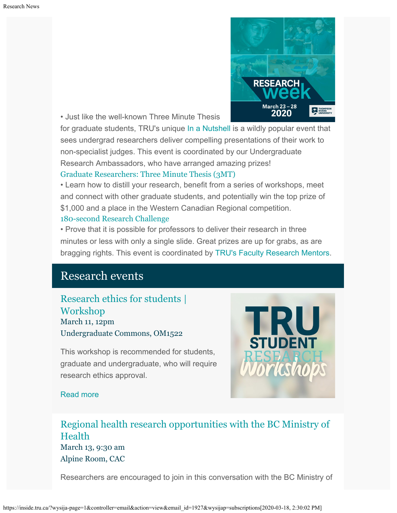

• Just like the well-known Three Minute Thesis

for graduate students, TRU's unique [In a Nutshell](https://www.tru.ca/research/research-week/in-a-nutshell.html) is a wildly popular event that sees undergrad researchers deliver compelling presentations of their work to non-specialist judges. This event is coordinated by our Undergraduate Research Ambassadors, who have arranged amazing prizes! [Graduate Researchers: Three Minute Thesis \(3MT\)](https://www.tru.ca/research/research-week/3mt.html)

• Learn how to distill your research, benefit from a series of workshops, meet and connect with other graduate students, and potentially win the top prize of \$1,000 and a place in the Western Canadian Regional competition. [180-second Research Challenge](https://www.tru.ca/research/research-week/180-second-research-challenge.html)

• Prove that it is possible for professors to deliver their research in three minutes or less with only a single slide. Great prizes are up for grabs, as are bragging rights. This event is coordinated by [TRU's Faculty Research Mentors](https://www.tru.ca/research/research-services/research-services-faculty/faculty-research-mentors.html).

# Research events

[Research ethics for students |](http://inside.tru.ca/events/event/research-ethics-for-students-workshop/) [Workshop](http://inside.tru.ca/events/event/research-ethics-for-students-workshop/) March 11, 12pm Undergraduate Commons, OM1522

This workshop is recommended for students, graduate and undergraduate, who will require research ethics approval.



## [Read more](http://inside.tru.ca/events/event/research-ethics-for-students-workshop/)

[Regional health research opportunities with the BC Ministry of](http://inside.tru.ca/events/event/regional-health-research-opportunities-with-the-bc-ministry-of-health/) [Health](http://inside.tru.ca/events/event/regional-health-research-opportunities-with-the-bc-ministry-of-health/) March 13, 9:30 am Alpine Room, CAC

Researchers are encouraged to join in this conversation with the BC Ministry of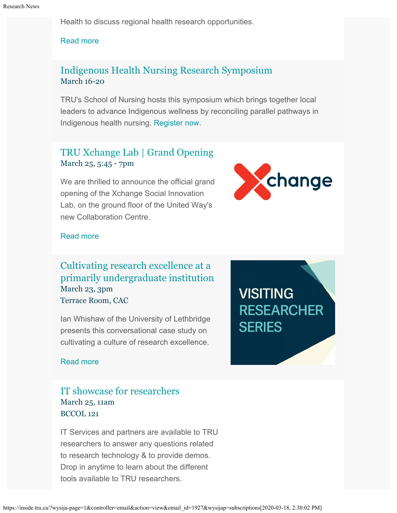Health to discuss regional health research opportunities.

#### [Read more](http://inside.tru.ca/events/event/regional-health-research-opportunities-with-the-bc-ministry-of-health/)

## [Indigenous Health Nursing Research Symposium](https://www.tru.ca/nursing/aboriginal-nursing/2020-ihnrs.html) March 16-20

TRU's School of Nursing hosts this symposium which brings together local leaders to advance Indigenous wellness by reconciling parallel pathways in Indigenous health nursing. [Register now](https://www.tru.ca/nursing/aboriginal-nursing/2020-ihnrs/registration-form.html).

## [TRU Xchange Lab | Grand Opening](http://inside.tru.ca/events/event/tru-xchange-lab-grand-opening/) March 25, 5:45 - 7pm

We are thrilled to announce the official grand opening of the Xchange Social Innovation Lab, on the ground floor of the United Way's new Collaboration Centre.



#### [Read more](http://inside.tru.ca/events/event/tru-xchange-lab-grand-opening/)

## [Cultivating research excellence at a](http://inside.tru.ca/events/event/cultivating-research-excellence-in-the-undergraduate-years/) [primarily undergraduate institution](http://inside.tru.ca/events/event/cultivating-research-excellence-in-the-undergraduate-years/) March 23, 3pm Terrace Room, CAC

Ian Whishaw of the University of Lethbridge presents this conversational case study on cultivating a culture of research excellence.

**VISITING RESEARCHER SERIES** 

#### [Read more](http://inside.tru.ca/events/event/cultivating-research-excellence-in-the-undergraduate-years/)

## [IT showcase for researchers](http://inside.tru.ca/events/event/it-for-researchers-a-showcase/) March 25, 11am BCCOL 121

IT Services and partners are available to TRU researchers to answer any questions related to research technology & to provide demos. Drop in anytime to learn about the different tools available to TRU researchers.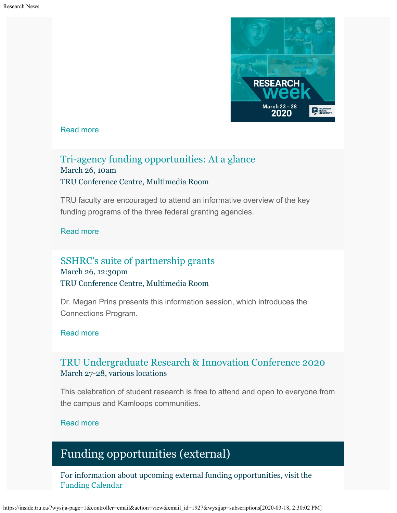

#### [Read more](http://inside.tru.ca/events/event/it-for-researchers-a-showcase/)

## [Tri-agency funding opportunities: At a glance](http://inside.tru.ca/events/event/tri-agency-funding-opportunities-at-a-glance/) March 26, 10am TRU Conference Centre, Multimedia Room

TRU faculty are encouraged to attend an informative overview of the key funding programs of the three federal granting agencies.

#### [Read more](http://inside.tru.ca/events/event/tri-agency-funding-opportunities-at-a-glance/)

## [SSHRC's suite of partnership grants](http://inside.tru.ca/events/event/sshrcs-suite-of-partnership-grants/) March 26, 12:30pm TRU Conference Centre, Multimedia Room

Dr. Megan Prins presents this information session, which introduces the Connections Program.

#### [Read more](http://inside.tru.ca/events/event/sshrcs-suite-of-partnership-grants/)

## [TRU Undergraduate Research & Innovation Conference 2020](http://inside.tru.ca/events/event/tru-undergraduate-research-innovation-conference-2020/) March 27-28, various locations

This celebration of student research is free to attend and open to everyone from the campus and Kamloops communities.

#### [Read more](http://inside.tru.ca/events/event/tru-undergraduate-research-innovation-conference-2020/)

# Funding opportunities (external)

For information about upcoming external funding opportunities, visit the [Funding Calendar](https://www.tru.ca/research/research-services/research-services-faculty/faculty-research-funding/funding-deadlines.html)

https://inside.tru.ca/?wysija-page=1&controller=email&action=view&email\_id=1927&wysijap=subscriptions[2020-03-18, 2:30:02 PM]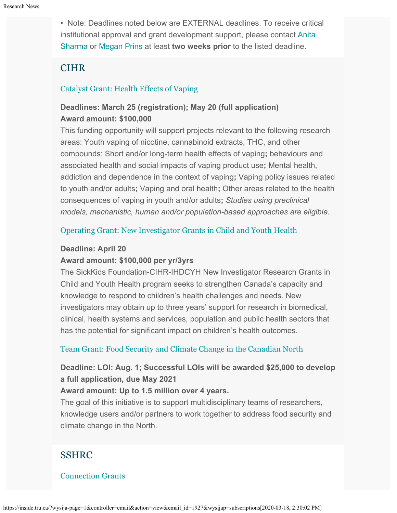• Note: Deadlines noted below are EXTERNAL deadlines. To receive critical institutional approval and grant development support, please contact [Anita](mailto:ansharma@tru.ca) [Sharma](mailto:ansharma@tru.ca) or [Megan Prins](mailto:mprins@tru.ca) at least **two weeks prior** to the listed deadline.

## **CIHR**

#### [Catalyst Grant: Health Effects of Vaping](https://www.researchnet-recherchenet.ca/rnr16/vwOpprtntyDtls.do?prog=3220&view=search&terms=vaping&type=EXACT&resultCount=25&next=1)

## **Deadlines: March 25 (registration); May 20 (full application) Award amount: \$100,000**

This funding opportunity will support projects relevant to the following research areas: Youth vaping of nicotine, cannabinoid extracts, THC, and other compounds; Short and/or long-term health effects of vaping**;** behaviours and associated health and social impacts of vaping product use**;** Mental health, addiction and dependence in the context of vaping**;** Vaping policy issues related to youth and/or adults**;** Vaping and oral health**;** Other areas related to the health consequences of vaping in youth and/or adults**;** *Studies using preclinical models, mechanistic, human and/or population-based approaches are eligible.*

#### [Operating Grant: New Investigator Grants in Child and Youth Health](https://www.researchnet-recherchenet.ca/rnr16/vwOpprtntyDtls.do?prog=3206&view=search&incArc=true&launchMonth=12&launchYear=2019&type=EXACT&resultCount=25&next=1)

#### **Deadline: April 20**

#### **Award amount: \$100,000 per yr/3yrs**

The SickKids Foundation-CIHR-IHDCYH New Investigator Research Grants in Child and Youth Health program seeks to strengthen Canada's capacity and knowledge to respond to children's health challenges and needs. New investigators may obtain up to three years' support for research in biomedical, clinical, health systems and services, population and public health sectors that has the potential for significant impact on children's health outcomes.

#### [Team Grant: Food Security and Climate Change in the Canadian North](https://www.researchnet-recherchenet.ca/rnr16/vwOpprtntyDtls.do?prog=3269&view=search&launchMonth=2&launchYear=2020&type=EXACT&resultCount=25&next=1)

## **Deadline: LOI: Aug. 1; Successful LOIs will be awarded \$25,000 to develop a full application, due May 2021**

#### **Award amount: Up to 1.5 million over 4 years.**

The goal of this initiative is to support multidisciplinary teams of researchers, knowledge users and/or partners to work together to address food security and climate change in the North.

## SSHRC

#### [Connection Grants](http://www.sshrc-crsh.gc.ca/funding-financement/programs-programmes/connection_grants-subventions_connexion-eng.aspx)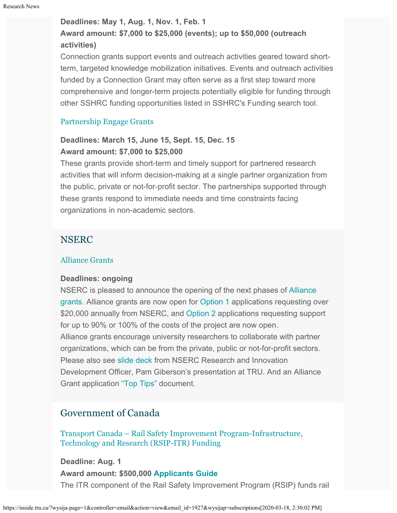#### **Deadlines: May 1, Aug. 1, Nov. 1, Feb. 1**

## **Award amount: \$7,000 to \$25,000 (events); up to \$50,000 (outreach activities)**

Connection grants support events and outreach activities geared toward shortterm, targeted knowledge mobilization initiatives. Events and outreach activities funded by a Connection Grant may often serve as a first step toward more comprehensive and longer-term projects potentially eligible for funding through other SSHRC funding opportunities listed in SSHRC's Funding search tool.

#### [Partnership Engage Grants](http://www.sshrc-crsh.gc.ca/funding-financement/programs-programmes/partnership_engage_grants-subventions_d_engagement_partenarial-eng.aspx)

## **Deadlines: March 15, June 15, Sept. 15, Dec. 15 Award amount: \$7,000 to \$25,000**

These grants provide short-term and timely support for partnered research activities that will inform decision-making at a single partner organization from the public, private or not-for-profit sector. The partnerships supported through these grants respond to immediate needs and time constraints facing organizations in non-academic sectors.

## NSERC

#### [Alliance Grants](https://www.nserc-crsng.gc.ca/Innovate-Innover/alliance-alliance/index_eng.asp)

#### **Deadlines: ongoing**

NSERC is pleased to announce the opening of the next phases of [Alliance](https://www.nserc-crsng.gc.ca/Innovate-Innover/alliance-alliance/index_eng.asp) [grants](https://www.nserc-crsng.gc.ca/Innovate-Innover/alliance-alliance/index_eng.asp). Alliance grants are now open for [Option 1](https://www.nserc-crsng.gc.ca/Innovate-Innover/alliance-alliance/funding-financement_eng.asp#option1) applications requesting over \$20,000 annually from NSERC, and [Option 2](https://www.nserc-crsng.gc.ca/Innovate-Innover/alliance-alliance/index_eng.asp) applications requesting support for up to 90% or 100% of the costs of the project are now open. Alliance grants encourage university researchers to collaborate with partner organizations, which can be from the private, public or not-for-profit sectors. Please also see [slide deck](https://one.tru.ca/sites/rgs/ToolsandResources/_layouts/15/WopiFrame.aspx?sourcedoc=/sites/rgs/ToolsandResources/Shared%20Documents/NSERC_ALLIANCE.pptx&action=default) from NSERC Research and Innovation Development Officer, Pam Giberson's presentation at TRU. And an Alliance Grant application ["Top Tips"](https://one.tru.ca/sites/rgs/ToolsandResources/_layouts/15/WopiFrame.aspx?sourcedoc=/sites/rgs/ToolsandResources/Shared%20Documents/Alliance%20Grant%20-%20Top%20Tips%20EN%20%20FR.pdf&action=default) document.

## Government of Canada

[Transport Canada – Rail Safety Improvement Program-Infrastructure,](https://www.tc.gc.ca/en/services/rail/apply-rsip-itr-funding.html) [Technology and Research \(RSIP-ITR\) Funding](https://www.tc.gc.ca/en/services/rail/apply-rsip-itr-funding.html)

**Deadline: Aug. 1 Award amount: \$500,000 [Applicants Guide](https://www.tc.gc.ca/en/services/rail/apply-rsip-itr-funding/rsip-itr-applicants-guide.html)** The ITR component of the Rail Safety Improvement Program (RSIP) funds rail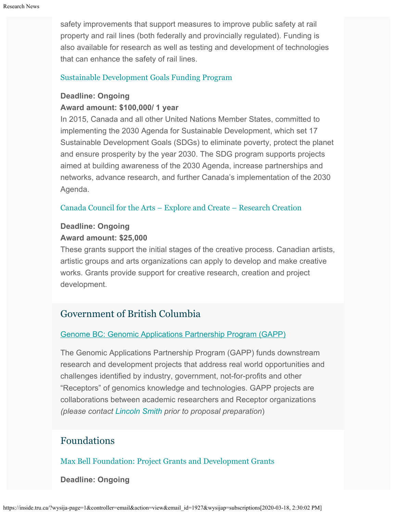safety improvements that support measures to improve public safety at rail property and rail lines (both federally and provincially regulated). Funding is also available for research as well as testing and development of technologies that can enhance the safety of rail lines.

#### [Sustainable Development Goals Funding Program](https://www.canada.ca/en/employment-social-development/services/funding/sustainable-development-goals.html)

#### **Deadline: Ongoing**

#### **Award amount: \$100,000/ 1 year**

In 2015, Canada and all other United Nations Member States, committed to implementing the 2030 Agenda for Sustainable Development, which set 17 Sustainable Development Goals (SDGs) to eliminate poverty, protect the planet and ensure prosperity by the year 2030. The SDG program supports projects aimed at building awareness of the 2030 Agenda, increase partnerships and networks, advance research, and further Canada's implementation of the 2030 Agenda.

#### [Canada Council for the Arts – Explore and Create – Research Creation](https://canadacouncil.ca/funding/grants/explore-and-create/research-and-creation)

## **Deadline: Ongoing Award amount: \$25,000**

These grants support the initial stages of the creative process. Canadian artists, artistic groups and arts organizations can apply to develop and make creative works. Grants provide support for creative research, creation and project development.

## Government of British Columbia

#### [Genome BC: Genomic Applications Partnership Program \(GAPP\)](https://www.genomebc.ca/funding-opportunity/genomic-applications-partnership-program-gapp)

The Genomic Applications Partnership Program (GAPP) funds downstream research and development projects that address real world opportunities and challenges identified by industry, government, not-for-profits and other "Receptors" of genomics knowledge and technologies. GAPP projects are collaborations between academic researchers and Receptor organizations *(please contact [Lincoln Smith](mailto:lsmith@tru.ca) prior to proposal preparation*)

## Foundations

## [Max Bell Foundation: Project Grants and Development Grants](https://maxbell.org/our-work/granting/types-programs/)

**Deadline: Ongoing**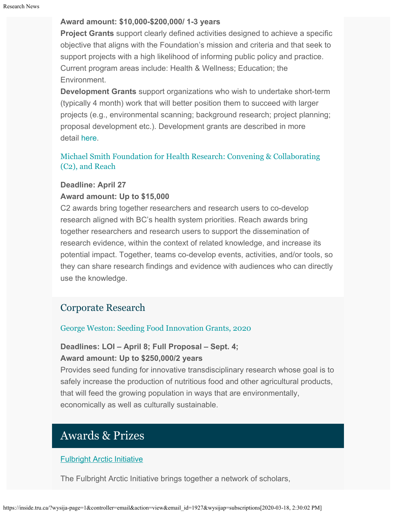#### **Award amount: \$10,000-\$200,000/ 1-3 years**

**Project Grants** support clearly defined activities designed to achieve a specific objective that aligns with the Foundation's mission and criteria and that seek to support projects with a high likelihood of informing public policy and practice. Current program areas include: Health & Wellness; Education; the Environment.

**Development Grants** support organizations who wish to undertake short-term (typically 4 month) work that will better position them to succeed with larger projects (e.g., environmental scanning; background research; project planning; proposal development etc.). Development grants are described in more detail [here](https://maxbell.org/our-work/types-programs/).

## [Michael Smith Foundation for Health Research: Convening & Collaborating](https://www.msfhr.org/2020-convening-collaborating-competition) [\(C2\), and Reach](https://www.msfhr.org/2020-convening-collaborating-competition)

## **Deadline: April 27 Award amount: Up to \$15,000**

C2 awards bring together researchers and research users to co-develop research aligned with BC's health system priorities. Reach awards bring together researchers and research users to support the dissemination of research evidence, within the context of related knowledge, and increase its potential impact. Together, teams co-develop events, activities, and/or tools, so they can share research findings and evidence with audiences who can directly use the knowledge.

## Corporate Research

## [George Weston: Seeding Food Innovation Grants, 2020](http://www.weston.ca/en/Research-Grants.aspx)

## **Deadlines: LOI – April 8; Full Proposal – Sept. 4; Award amount: Up to \$250,000/2 years**

Provides seed funding for innovative transdisciplinary research whose goal is to safely increase the production of nutritious food and other agricultural products, that will feed the growing population in ways that are environmentally, economically as well as culturally sustainable.

# Awards & Prizes

## [Fulbright Arctic Initiative](https://www.fulbright.ca/programs/canadian-scholars/arctic-initiative.html)

The Fulbright Arctic Initiative brings together a network of scholars,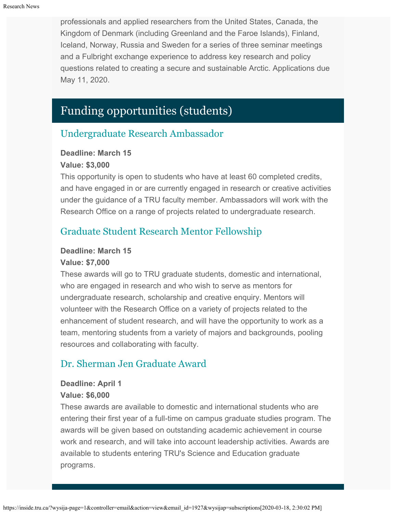professionals and applied researchers from the United States, Canada, the Kingdom of Denmark (including Greenland and the Faroe Islands), Finland, Iceland, Norway, Russia and Sweden for a series of three seminar meetings and a Fulbright exchange experience to address key research and policy questions related to creating a secure and sustainable Arctic. Applications due May 11, 2020.

# Funding opportunities (students)

# [Undergraduate Research Ambassador](https://tru.ca/research/graduate-studies/graduate-studies-funding.html)

## **Deadline: March 15**

## **Value: \$3,000**

This opportunity is open to students who have at least 60 completed credits, and have engaged in or are currently engaged in research or creative activities under the guidance of a TRU faculty member. Ambassadors will work with the Research Office on a range of projects related to undergraduate research.

# [Graduate Student Research Mentor Fellowship](https://tru.ca/research/graduate-studies/graduate-studies-funding.html)

## **Deadline: March 15**

## **Value: \$7,000**

These awards will go to TRU graduate students, domestic and international, who are engaged in research and who wish to serve as mentors for undergraduate research, scholarship and creative enquiry. Mentors will volunteer with the Research Office on a variety of projects related to the enhancement of student research, and will have the opportunity to work as a team, mentoring students from a variety of majors and backgrounds, pooling resources and collaborating with faculty.

# [Dr. Sherman Jen Graduate Award](https://tru.ca/research/graduate-studies/graduate-studies-funding.html)

## **Deadline: April 1**

## **Value: \$6,000**

These awards are available to domestic and international students who are entering their first year of a full-time on campus graduate studies program. The awards will be given based on outstanding academic achievement in course work and research, and will take into account leadership activities. Awards are available to students entering TRU's Science and Education graduate programs.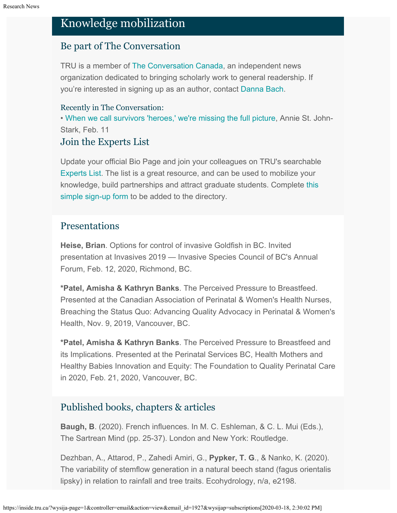# Knowledge mobilization

## Be part of The Conversation

TRU is a member of [The Conversation Canada](https://theconversation.com/ca), an independent news organization dedicated to bringing scholarly work to general readership. If you're interested in signing up as an author, contact [Danna Bach](mailto:dbach@tru.ca).

## Recently in The Conversation:

• [When we call survivors 'heroes,' we're missing the full picture](https://theconversation.com/when-we-call-survivors-heroes-were-missing-the-full-picture-126730), Annie St. John-Stark, Feb. 11

## Join the Experts List

Update your official Bio Page and join your colleagues on TRU's searchable [Experts List](https://inside.tru.ca/find-an-expert/experts-registration-update/). The list is a great resource, and can be used to mobilize your knowledge, build partnerships and attract graduate students. Complete [this](https://inside.tru.ca/find-an-expert/experts-registration-update/) [simple sign-up form](https://inside.tru.ca/find-an-expert/experts-registration-update/) to be added to the directory.

## Presentations

**Heise, Brian**. Options for control of invasive Goldfish in BC. Invited presentation at Invasives 2019 — Invasive Species Council of BC's Annual Forum, Feb. 12, 2020, Richmond, BC.

**\*Patel, Amisha & Kathryn Banks**. The Perceived Pressure to Breastfeed. Presented at the Canadian Association of Perinatal & Women's Health Nurses, Breaching the Status Quo: Advancing Quality Advocacy in Perinatal & Women's Health, Nov. 9, 2019, Vancouver, BC.

**\*Patel, Amisha & Kathryn Banks**. The Perceived Pressure to Breastfeed and its Implications. Presented at the Perinatal Services BC, Health Mothers and Healthy Babies Innovation and Equity: The Foundation to Quality Perinatal Care in 2020, Feb. 21, 2020, Vancouver, BC.

## Published books, chapters & articles

**Baugh, B**. (2020). French influences. In M. C. Eshleman, & C. L. Mui (Eds.), The Sartrean Mind (pp. 25-37). London and New York: Routledge.

Dezhban, A., Attarod, P., Zahedi Amiri, G., **Pypker, T. G**., & Nanko, K. (2020). The variability of stemflow generation in a natural beech stand (fagus orientalis lipsky) in relation to rainfall and tree traits. Ecohydrology, n/a, e2198.